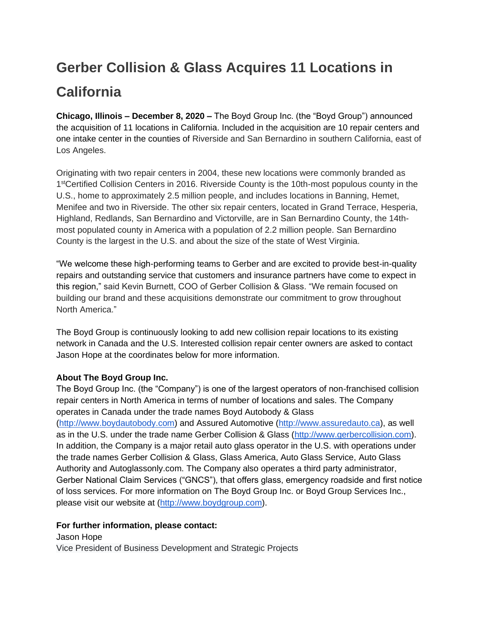## **Gerber Collision & Glass Acquires 11 Locations in California**

**Chicago, Illinois – December 8, 2020 –** The Boyd Group Inc. (the "Boyd Group") announced the acquisition of 11 locations in California. Included in the acquisition are 10 repair centers and one intake center in the counties of Riverside and San Bernardino in southern California, east of Los Angeles.

Originating with two repair centers in 2004, these new locations were commonly branded as 1<sup>st</sup>Certified Collision Centers in 2016. Riverside County is the 10th-most populous county in the U.S., home to approximately 2.5 million people, and includes locations in Banning, Hemet, Menifee and two in Riverside. The other six repair centers, located in Grand Terrace, Hesperia, Highland, Redlands, San Bernardino and Victorville, are in San Bernardino County, the 14thmost populated county in America with a population of 2.2 million people. San Bernardino County is the largest in the U.S. and about the size of the state of West Virginia.

"We welcome these high-performing teams to Gerber and are excited to provide best-in-quality repairs and outstanding service that customers and insurance partners have come to expect in this region," said Kevin Burnett, COO of Gerber Collision & Glass. "We remain focused on building our brand and these acquisitions demonstrate our commitment to grow throughout North America."

The Boyd Group is continuously looking to add new collision repair locations to its existing network in Canada and the U.S. Interested collision repair center owners are asked to contact Jason Hope at the coordinates below for more information.

## **About The Boyd Group Inc.**

The Boyd Group Inc. (the "Company") is one of the largest operators of non-franchised collision repair centers in North America in terms of number of locations and sales. The Company operates in Canada under the trade names Boyd Autobody & Glass [\(http://www.boydautobody.com\)](http://www.boydautobody.com/) and Assured Automotive [\(http://www.assuredauto.ca\)](http://www.assuredauto.ca/), as well as in the U.S. under the trade name Gerber Collision & Glass [\(http://www.gerbercollision.com\)](http://www.gerbercollision.com/). In addition, the Company is a major retail auto glass operator in the U.S. with operations under the trade names Gerber Collision & Glass, Glass America, Auto Glass Service, Auto Glass Authority and Autoglassonly.com. The Company also operates a third party administrator, Gerber National Claim Services ("GNCS"), that offers glass, emergency roadside and first notice of loss services. For more information on The Boyd Group Inc. or Boyd Group Services Inc., please visit our website at [\(http://www.boydgroup.com\)](http://www.boydgroup.com/).

## **For further information, please contact:**

Jason Hope Vice President of Business Development and Strategic Projects